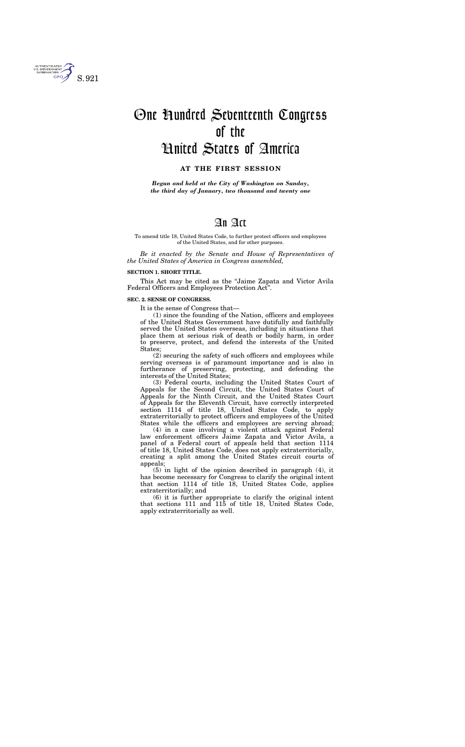To amend title 18, United States Code, to further protect officers and employees of the United States, and for other purposes.

*Be it enacted by the Senate and House of Representatives of the United States of America in Congress assembled,* 

## **SECTION 1. SHORT TITLE.**

This Act may be cited as the ''Jaime Zapata and Victor Avila Federal Officers and Employees Protection Act''.

## **SEC. 2. SENSE OF CONGRESS.**

It is the sense of Congress that—

(1) since the founding of the Nation, officers and employees of the United States Government have dutifully and faithfully served the United States overseas, including in situations that place them at serious risk of death or bodily harm, in order to preserve, protect, and defend the interests of the United States;

(2) securing the safety of such officers and employees while serving overseas is of paramount importance and is also in furtherance of preserving, protecting, and defending the interests of the United States;

(3) Federal courts, including the United States Court of Appeals for the Second Circuit, the United States Court of Appeals for the Ninth Circuit, and the United States Court of Appeals for the Eleventh Circuit, have correctly interpreted section 1114 of title 18, United States Code, to apply extraterritorially to protect officers and employees of the United States while the officers and employees are serving abroad;

(4) in a case involving a violent attack against Federal law enforcement officers Jaime Zapata and Victor Avila, a panel of a Federal court of appeals held that section 1114 of title 18, United States Code, does not apply extraterritorially, creating a split among the United States circuit courts of appeals;

(5) in light of the opinion described in paragraph (4), it has become necessary for Congress to clarify the original intent that section 1114 of title 18, United States Code, applies extraterritorially; and

(6) it is further appropriate to clarify the original intent that sections 111 and 115 of title 18, United States Code, apply extraterritorially as well.